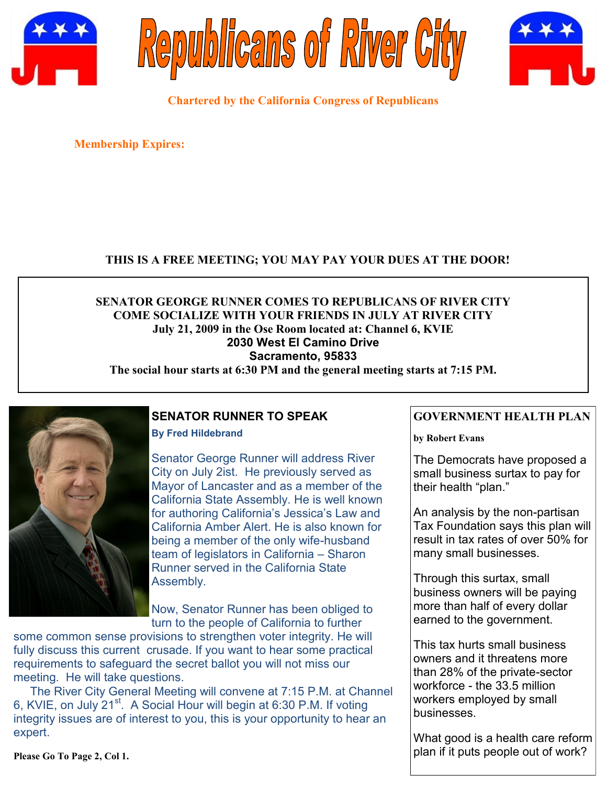





**Chartered by the California Congress of Republicans**

**Membership Expires:** 

## **THIS IS A FREE MEETING; YOU MAY PAY YOUR DUES AT THE DOOR!**

# **SENATOR GEORGE RUNNER COMES TO REPUBLICANS OF RIVER CITY COME SOCIALIZE WITH YOUR FRIENDS IN JULY AT RIVER CITY July 21, 2009 in the Ose Room located at: Channel 6, KVIE 2030 West El Camino Drive Sacramento, 95833**

**The social hour starts at 6:30 PM and the general meeting starts at 7:15 PM.**



# **SENATOR RUNNER TO SPEAK**

**By Fred Hildebrand**

Senator George Runner will address River City on July 2ist. He previously served as Mayor of Lancaster and as a member of the California State Assembly. He is well known for authoring California's Jessica's Law and California Amber Alert. He is also known for being a member of the only wife-husband team of legislators in California – Sharon Runner served in the California State Assembly.

Now, Senator Runner has been obliged to turn to the people of California to further

some common sense provisions to strengthen voter integrity. He will fully discuss this current crusade. If you want to hear some practical requirements to safeguard the secret ballot you will not miss our meeting. He will take questions.

 The River City General Meeting will convene at 7:15 P.M. at Channel 6, KVIE, on July 21<sup>st</sup>. A Social Hour will begin at 6:30 P.M. If voting integrity issues are of interest to you, this is your opportunity to hear an expert.

**GOVERNMENT HEALTH PLAN**

**by Robert Evans**

The Democrats have proposed a small business surtax to pay for their health "plan."

An analysis by the non-partisan Tax Foundation says this plan will result in tax rates of over 50% for many small businesses.

Through this surtax, small business owners will be paying more than half of every dollar earned to the government.

This tax hurts small business owners and it threatens more than 28% of the private-sector workforce - the 33.5 million workers employed by small businesses.

What good is a health care reform plan if it puts people out of work?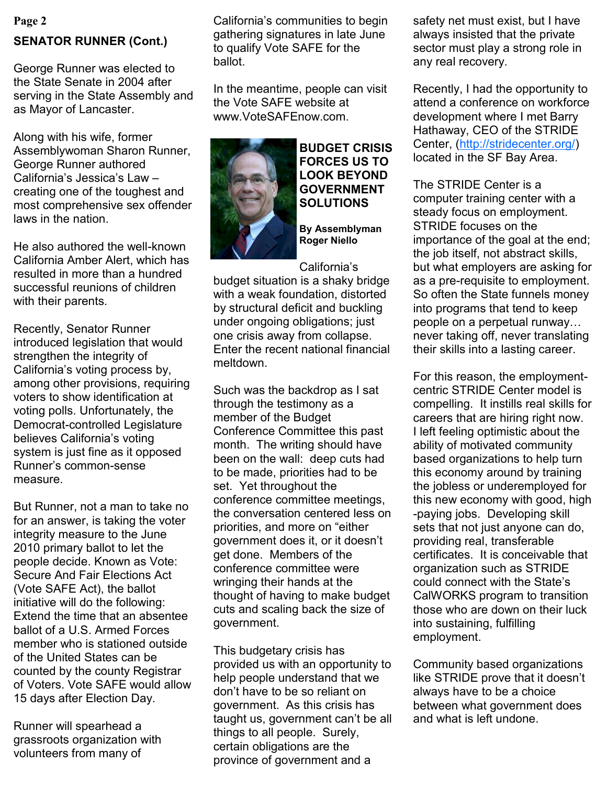# **SENATOR RUNNER (Cont.)**

George Runner was elected to the State Senate in 2004 after serving in the State Assembly and as Mayor of Lancaster.

Along with his wife, former Assemblywoman Sharon Runner, George Runner authored California's Jessica's Law creating one of the toughest and most comprehensive sex offender laws in the nation.

He also authored the well-known California Amber Alert, which has resulted in more than a hundred successful reunions of children with their parents.

Recently, Senator Runner introduced legislation that would strengthen the integrity of California's voting process by, among other provisions, requiring voters to show identification at voting polls. Unfortunately, the Democrat-controlled Legislature believes California's voting system is just fine as it opposed Runner"s common-sense measure.

But Runner, not a man to take no for an answer, is taking the voter integrity measure to the June 2010 primary ballot to let the people decide. Known as Vote: Secure And Fair Elections Act (Vote SAFE Act), the ballot initiative will do the following: Extend the time that an absentee ballot of a U.S. Armed Forces member who is stationed outside of the United States can be counted by the county Registrar of Voters. Vote SAFE would allow 15 days after Election Day.

Runner will spearhead a grassroots organization with volunteers from many of

**Page 2** same communities to begin and must exist, but I have California"s communities to begin gathering signatures in late June to qualify Vote SAFE for the ballot.

> In the meantime, people can visit the Vote SAFE website at www.VoteSAFEnow.com.



**BUDGET CRISIS FORCES US TO LOOK BEYOND GOVERNMENT SOLUTIONS**

**By Assemblyman Roger Niello**

#### California"s

budget situation is a shaky bridge with a weak foundation, distorted by structural deficit and buckling under ongoing obligations; just one crisis away from collapse. Enter the recent national financial meltdown.

Such was the backdrop as I sat through the testimony as a member of the Budget Conference Committee this past month. The writing should have been on the wall: deep cuts had to be made, priorities had to be set. Yet throughout the conference committee meetings, the conversation centered less on priorities, and more on "either government does it, or it doesn"t get done. Members of the conference committee were wringing their hands at the thought of having to make budget cuts and scaling back the size of government.

This budgetary crisis has provided us with an opportunity to help people understand that we don"t have to be so reliant on government. As this crisis has taught us, government can"t be all things to all people. Surely, certain obligations are the province of government and a

always insisted that the private sector must play a strong role in any real recovery.

Recently, I had the opportunity to attend a conference on workforce development where I met Barry Hathaway, CEO of the STRIDE Center, ([http://stridecenter.org/\)](http://stridecenter.org/) located in the SF Bay Area.

The STRIDE Center is a computer training center with a steady focus on employment. STRIDE focuses on the importance of the goal at the end; the job itself, not abstract skills, but what employers are asking for as a pre-requisite to employment. So often the State funnels money into programs that tend to keep people on a perpetual runway… never taking off, never translating their skills into a lasting career.

For this reason, the employmentcentric STRIDE Center model is compelling. It instills real skills for careers that are hiring right now. I left feeling optimistic about the ability of motivated community based organizations to help turn this economy around by training the jobless or underemployed for this new economy with good, high -paying jobs. Developing skill sets that not just anyone can do, providing real, transferable certificates. It is conceivable that organization such as STRIDE could connect with the State"s CalWORKS program to transition those who are down on their luck into sustaining, fulfilling employment.

Community based organizations like STRIDE prove that it doesn"t always have to be a choice between what government does and what is left undone.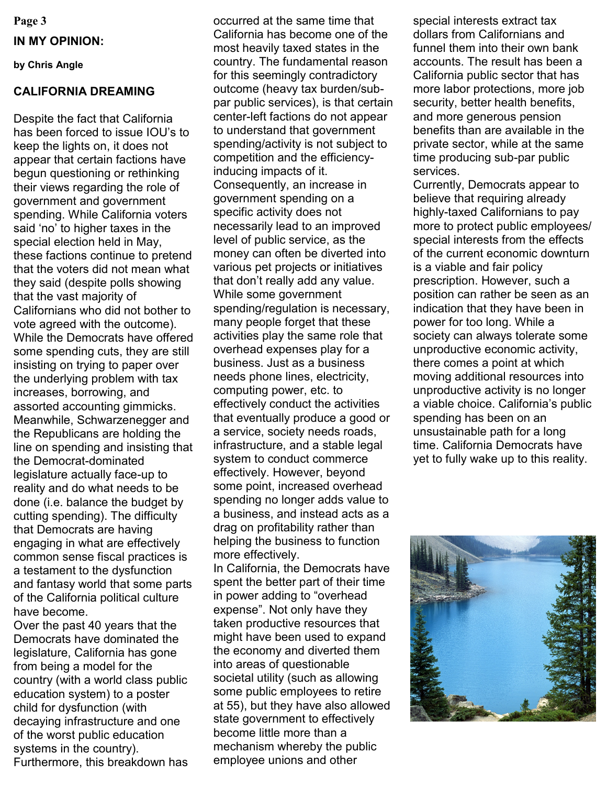**Page 3 IN MY OPINION:**

**by Chris Angle**

# **CALIFORNIA DREAMING**

Despite the fact that California has been forced to issue IOU"s to keep the lights on, it does not appear that certain factions have begun questioning or rethinking their views regarding the role of government and government spending. While California voters said 'no' to higher taxes in the special election held in May, these factions continue to pretend that the voters did not mean what they said (despite polls showing that the vast majority of Californians who did not bother to vote agreed with the outcome). While the Democrats have offered some spending cuts, they are still insisting on trying to paper over the underlying problem with tax increases, borrowing, and assorted accounting gimmicks. Meanwhile, Schwarzenegger and the Republicans are holding the line on spending and insisting that the Democrat-dominated legislature actually face-up to reality and do what needs to be done (i.e. balance the budget by cutting spending). The difficulty that Democrats are having engaging in what are effectively common sense fiscal practices is a testament to the dysfunction and fantasy world that some parts of the California political culture have become.

Over the past 40 years that the Democrats have dominated the legislature, California has gone from being a model for the country (with a world class public education system) to a poster child for dysfunction (with decaying infrastructure and one of the worst public education systems in the country). Furthermore, this breakdown has occurred at the same time that California has become one of the most heavily taxed states in the country. The fundamental reason for this seemingly contradictory outcome (heavy tax burden/subpar public services), is that certain center-left factions do not appear to understand that government spending/activity is not subject to competition and the efficiencyinducing impacts of it. Consequently, an increase in government spending on a specific activity does not necessarily lead to an improved level of public service, as the money can often be diverted into various pet projects or initiatives that don"t really add any value. While some government spending/regulation is necessary, many people forget that these activities play the same role that overhead expenses play for a business. Just as a business needs phone lines, electricity, computing power, etc. to effectively conduct the activities that eventually produce a good or a service, society needs roads, infrastructure, and a stable legal system to conduct commerce effectively. However, beyond some point, increased overhead spending no longer adds value to a business, and instead acts as a drag on profitability rather than helping the business to function more effectively. In California, the Democrats have

spent the better part of their time in power adding to "overhead expense". Not only have they taken productive resources that might have been used to expand the economy and diverted them into areas of questionable societal utility (such as allowing some public employees to retire at 55), but they have also allowed state government to effectively become little more than a mechanism whereby the public employee unions and other

special interests extract tax dollars from Californians and funnel them into their own bank accounts. The result has been a California public sector that has more labor protections, more job security, better health benefits, and more generous pension benefits than are available in the private sector, while at the same time producing sub-par public services.

Currently, Democrats appear to believe that requiring already highly-taxed Californians to pay more to protect public employees/ special interests from the effects of the current economic downturn is a viable and fair policy prescription. However, such a position can rather be seen as an indication that they have been in power for too long. While a society can always tolerate some unproductive economic activity, there comes a point at which moving additional resources into unproductive activity is no longer a viable choice. California"s public spending has been on an unsustainable path for a long time. California Democrats have yet to fully wake up to this reality.

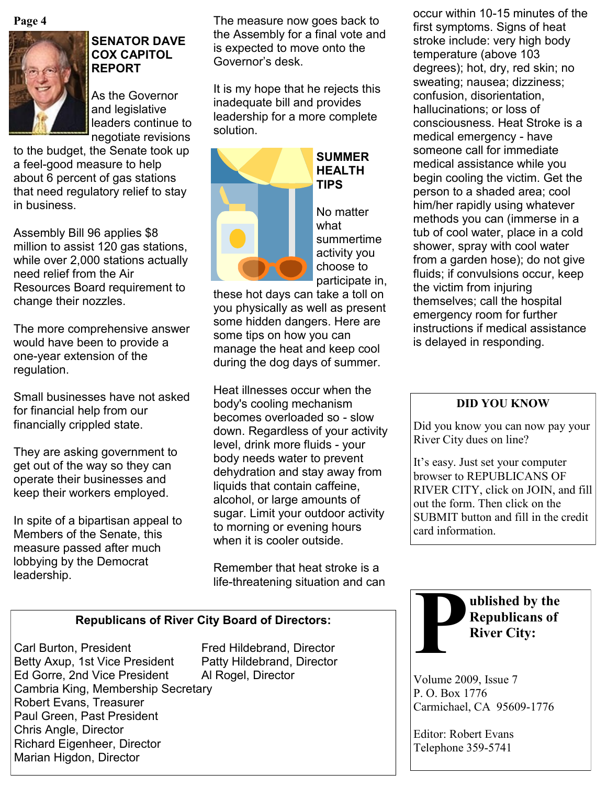**Page 4**



### **SENATOR DAVE COX CAPITOL REPORT**

As the Governor and legislative leaders continue to negotiate revisions

to the budget, the Senate took up a feel-good measure to help about 6 percent of gas stations that need regulatory relief to stay in business.

Assembly Bill 96 applies \$8 million to assist 120 gas stations, while over 2,000 stations actually need relief from the Air Resources Board requirement to change their nozzles.

The more comprehensive answer would have been to provide a one-year extension of the regulation.

Small businesses have not asked for financial help from our financially crippled state.

They are asking government to get out of the way so they can operate their businesses and keep their workers employed.

In spite of a bipartisan appeal to Members of the Senate, this measure passed after much lobbying by the Democrat leadership.

The measure now goes back to the Assembly for a final vote and is expected to move onto the Governor"s desk.

It is my hope that he rejects this inadequate bill and provides leadership for a more complete solution.



**TIPS** No matter what summertime activity you

these hot days can take a toll on you physically as well as present some hidden dangers. Here are some tips on how you can manage the heat and keep cool during the dog days of summer.

Heat illnesses occur when the body's cooling mechanism becomes overloaded so - slow down. Regardless of your activity level, drink more fluids - your body needs water to prevent dehydration and stay away from liquids that contain caffeine, alcohol, or large amounts of sugar. Limit your outdoor activity to morning or evening hours when it is cooler outside.

Remember that heat stroke is a life-threatening situation and can

# **Republicans of River City Board of Directors:**

Carl Burton, President Fred Hildebrand, Director Betty Axup, 1st Vice President Patty Hildebrand, Director Ed Gorre, 2nd Vice President Al Rogel, Director Cambria King, Membership Secretary Robert Evans, Treasurer Paul Green, Past President Chris Angle, Director Richard Eigenheer, Director Marian Higdon, Director

occur within 10-15 minutes of the first symptoms. Signs of heat stroke include: very high body temperature (above 103 degrees); hot, dry, red skin; no sweating; nausea; dizziness; confusion, disorientation, hallucinations; or loss of consciousness. Heat Stroke is a medical emergency - have someone call for immediate medical assistance while you begin cooling the victim. Get the person to a shaded area; cool him/her rapidly using whatever methods you can (immerse in a tub of cool water, place in a cold shower, spray with cool water from a garden hose); do not give fluids; if convulsions occur, keep the victim from injuring themselves; call the hospital emergency room for further instructions if medical assistance is delayed in responding.

## **DID YOU KNOW**

Did you know you can now pay your River City dues on line?

It's easy. Just set your computer browser to REPUBLICANS OF RIVER CITY, click on JOIN, and fill out the form. Then click on the SUBMIT button and fill in the credit card information.



Volume 2009, Issue 7 P. O. Box 1776 Carmichael, CA 95609-1776

Editor: Robert Evans Telephone 359-5741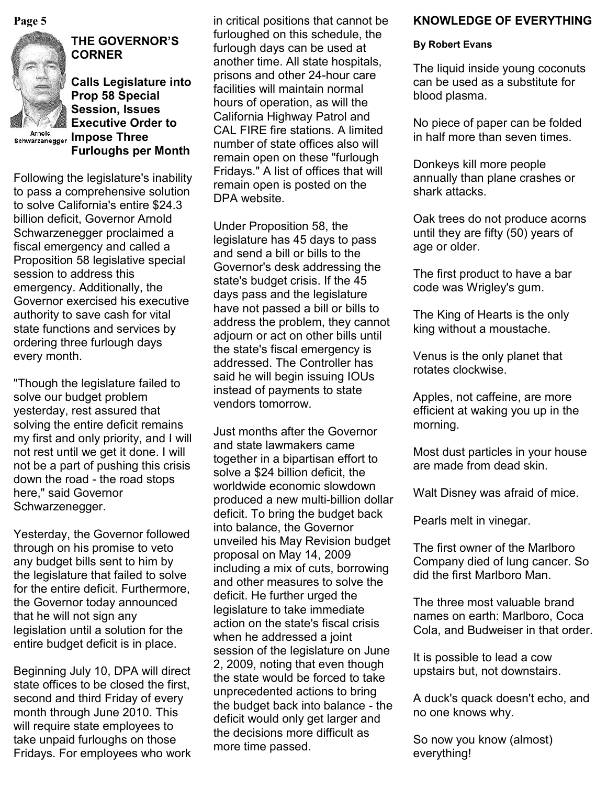

# **THE GOVERNOR'S CORNER**

**Calls Legislature into Prop 58 Special Session, Issues Executive Order to Arnold** Schwarzenegger Impose Three **Furloughs per Month**

Following the legislature's inability to pass a comprehensive solution to solve California's entire \$24.3 billion deficit, Governor Arnold Schwarzenegger proclaimed a fiscal emergency and called a Proposition 58 legislative special session to address this emergency. Additionally, the Governor exercised his executive authority to save cash for vital state functions and services by ordering three furlough days every month.

"Though the legislature failed to solve our budget problem yesterday, rest assured that solving the entire deficit remains my first and only priority, and I will not rest until we get it done. I will not be a part of pushing this crisis down the road - the road stops here," said Governor Schwarzenegger.

Yesterday, the Governor followed through on his promise to veto any budget bills sent to him by the legislature that failed to solve for the entire deficit. Furthermore, the Governor today announced that he will not sign any legislation until a solution for the entire budget deficit is in place.

Beginning July 10, DPA will direct state offices to be closed the first, second and third Friday of every month through June 2010. This will require state employees to take unpaid furloughs on those Fridays. For employees who work in critical positions that cannot be furloughed on this schedule, the furlough days can be used at another time. All state hospitals, prisons and other 24-hour care facilities will maintain normal hours of operation, as will the California Highway Patrol and CAL FIRE fire stations. A limited number of state offices also will remain open on these "furlough Fridays." A list of offices that will remain open is posted on the DPA website.

Under Proposition 58, the legislature has 45 days to pass and send a bill or bills to the Governor's desk addressing the state's budget crisis. If the 45 days pass and the legislature have not passed a bill or bills to address the problem, they cannot adjourn or act on other bills until the state's fiscal emergency is addressed. The Controller has said he will begin issuing IOUs instead of payments to state vendors tomorrow.

Just months after the Governor and state lawmakers came together in a bipartisan effort to solve a \$24 billion deficit, the worldwide economic slowdown produced a new multi-billion dollar deficit. To bring the budget back into balance, the Governor unveiled his May Revision budget proposal on May 14, 2009 including a mix of cuts, borrowing and other measures to solve the deficit. He further urged the legislature to take immediate action on the state's fiscal crisis when he addressed a joint session of the legislature on June 2, 2009, noting that even though the state would be forced to take unprecedented actions to bring the budget back into balance - the deficit would only get larger and the decisions more difficult as more time passed.

## **Page 5 KNOWLEDGE OF EVERYTHING** *CON***CLUSION** *KNOWLEDGE OF EVERYTHING*

#### **By Robert Evans**

The liquid inside young coconuts can be used as a substitute for blood plasma.

No piece of paper can be folded in half more than seven times.

Donkeys kill more people annually than plane crashes or shark attacks.

Oak trees do not produce acorns until they are fifty (50) years of age or older.

The first product to have a bar code was Wrigley's gum.

The King of Hearts is the only king without a moustache.

Venus is the only planet that rotates clockwise.

Apples, not caffeine, are more efficient at waking you up in the morning.

Most dust particles in your house are made from dead skin.

Walt Disney was afraid of mice.

Pearls melt in vinegar.

The first owner of the Marlboro Company died of lung cancer. So did the first Marlboro Man.

The three most valuable brand names on earth: Marlboro, Coca Cola, and Budweiser in that order.

It is possible to lead a cow upstairs but, not downstairs.

A duck's quack doesn't echo, and no one knows why.

So now you know (almost) everything!